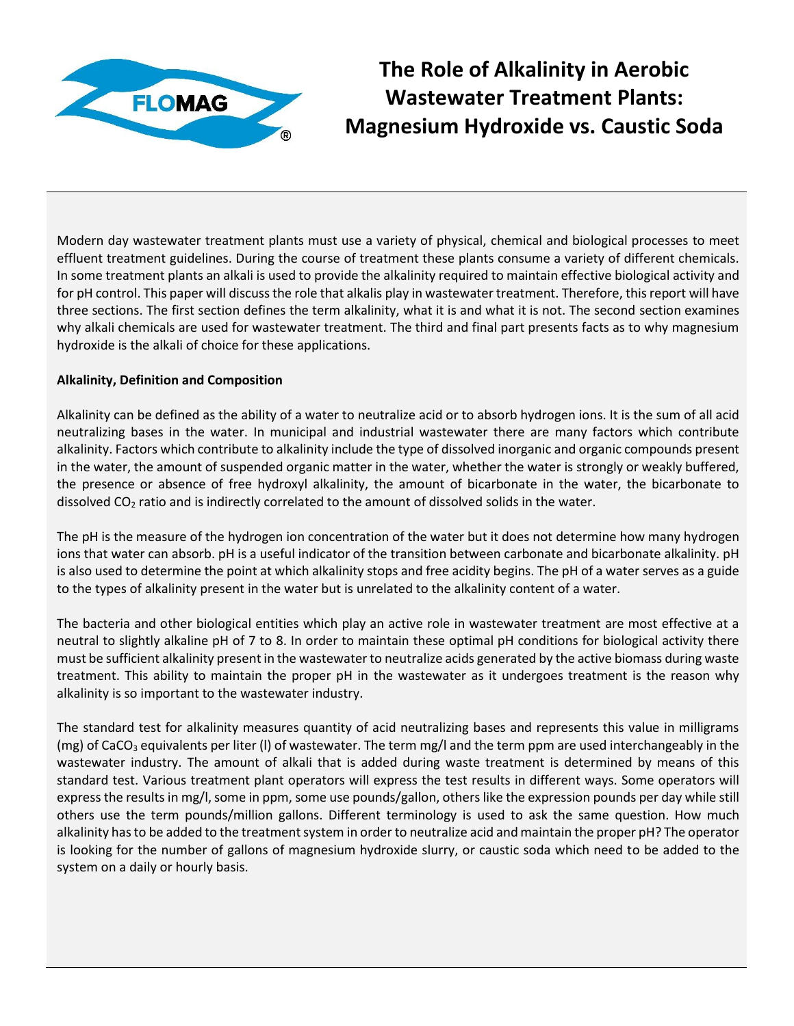

**The Role of Alkalinity in Aerobic Wastewater Treatment Plants: Magnesium Hydroxide vs. Caustic Soda**

Modern day wastewater treatment plants must use a variety of physical, chemical and biological processes to meet effluent treatment guidelines. During the course of treatment these plants consume a variety of different chemicals. In some treatment plants an alkali is used to provide the alkalinity required to maintain effective biological activity and for pH control. This paper will discuss the role that alkalis play in wastewater treatment. Therefore, this report will have three sections. The first section defines the term alkalinity, what it is and what it is not. The second section examines why alkali chemicals are used for wastewater treatment. The third and final part presents facts as to why magnesium hydroxide is the alkali of choice for these applications.

## **Alkalinity, Definition and Composition**

Alkalinity can be defined as the ability of a water to neutralize acid or to absorb hydrogen ions. It is the sum of all acid neutralizing bases in the water. In municipal and industrial wastewater there are many factors which contribute alkalinity. Factors which contribute to alkalinity include the type of dissolved inorganic and organic compounds present in the water, the amount of suspended organic matter in the water, whether the water is strongly or weakly buffered, the presence or absence of free hydroxyl alkalinity, the amount of bicarbonate in the water, the bicarbonate to dissolved  $CO<sub>2</sub>$  ratio and is indirectly correlated to the amount of dissolved solids in the water.

The pH is the measure of the hydrogen ion concentration of the water but it does not determine how many hydrogen ions that water can absorb. pH is a useful indicator of the transition between carbonate and bicarbonate alkalinity. pH is also used to determine the point at which alkalinity stops and free acidity begins. The pH of a water serves as a guide to the types of alkalinity present in the water but is unrelated to the alkalinity content of a water.

The bacteria and other biological entities which play an active role in wastewater treatment are most effective at a neutral to slightly alkaline pH of 7 to 8. In order to maintain these optimal pH conditions for biological activity there must be sufficient alkalinity present in the wastewater to neutralize acids generated by the active biomass during waste treatment. This ability to maintain the proper pH in the wastewater as it undergoes treatment is the reason why alkalinity is so important to the wastewater industry.

The standard test for alkalinity measures quantity of acid neutralizing bases and represents this value in milligrams (mg) of CaCO<sub>3</sub> equivalents per liter (I) of wastewater. The term mg/l and the term ppm are used interchangeably in the wastewater industry. The amount of alkali that is added during waste treatment is determined by means of this standard test. Various treatment plant operators will express the test results in different ways. Some operators will express the results in mg/l, some in ppm, some use pounds/gallon, others like the expression pounds per day while still others use the term pounds/million gallons. Different terminology is used to ask the same question. How much alkalinity has to be added to the treatment system in order to neutralize acid and maintain the proper pH? The operator is looking for the number of gallons of magnesium hydroxide slurry, or caustic soda which need to be added to the system on a daily or hourly basis.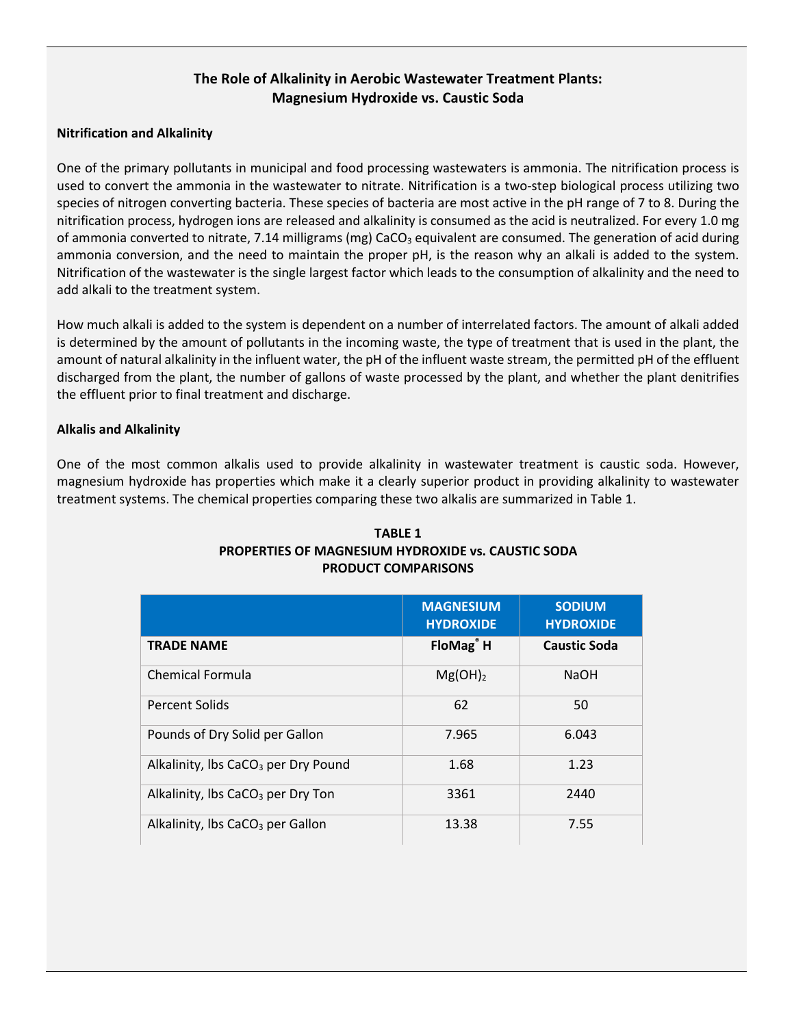# **The Role of Alkalinity in Aerobic Wastewater Treatment Plants: Magnesium Hydroxide vs. Caustic Soda**

### **Nitrification and Alkalinity**

One of the primary pollutants in municipal and food processing wastewaters is ammonia. The nitrification process is used to convert the ammonia in the wastewater to nitrate. Nitrification is a two-step biological process utilizing two species of nitrogen converting bacteria. These species of bacteria are most active in the pH range of 7 to 8. During the nitrification process, hydrogen ions are released and alkalinity is consumed as the acid is neutralized. For every 1.0 mg of ammonia converted to nitrate, 7.14 milligrams (mg) CaCO<sub>3</sub> equivalent are consumed. The generation of acid during ammonia conversion, and the need to maintain the proper pH, is the reason why an alkali is added to the system. Nitrification of the wastewater is the single largest factor which leads to the consumption of alkalinity and the need to add alkali to the treatment system.

How much alkali is added to the system is dependent on a number of interrelated factors. The amount of alkali added is determined by the amount of pollutants in the incoming waste, the type of treatment that is used in the plant, the amount of natural alkalinity in the influent water, the pH of the influent waste stream, the permitted pH of the effluent discharged from the plant, the number of gallons of waste processed by the plant, and whether the plant denitrifies the effluent prior to final treatment and discharge.

### **Alkalis and Alkalinity**

One of the most common alkalis used to provide alkalinity in wastewater treatment is caustic soda. However, magnesium hydroxide has properties which make it a clearly superior product in providing alkalinity to wastewater treatment systems. The chemical properties comparing these two alkalis are summarized in Table 1.

|                                                 | <b>MAGNESIUM</b><br><b>HYDROXIDE</b> | <b>SODIUM</b><br><b>HYDROXIDE</b> |
|-------------------------------------------------|--------------------------------------|-----------------------------------|
| <b>TRADE NAME</b>                               | FloMag <sup>®</sup> H                | <b>Caustic Soda</b>               |
| <b>Chemical Formula</b>                         | $Mg(OH)_2$                           | <b>NaOH</b>                       |
| Percent Solids                                  | 62                                   | 50                                |
| Pounds of Dry Solid per Gallon                  | 7.965                                | 6.043                             |
| Alkalinity, Ibs CaCO <sub>3</sub> per Dry Pound | 1.68                                 | 1.23                              |
| Alkalinity, Ibs $CaCO3$ per Dry Ton             | 3361                                 | 2440                              |
| Alkalinity, Ibs CaCO <sub>3</sub> per Gallon    | 13.38                                | 7.55                              |

#### **TABLE 1 PROPERTIES OF MAGNESIUM HYDROXIDE vs. CAUSTIC SODA PRODUCT COMPARISONS**